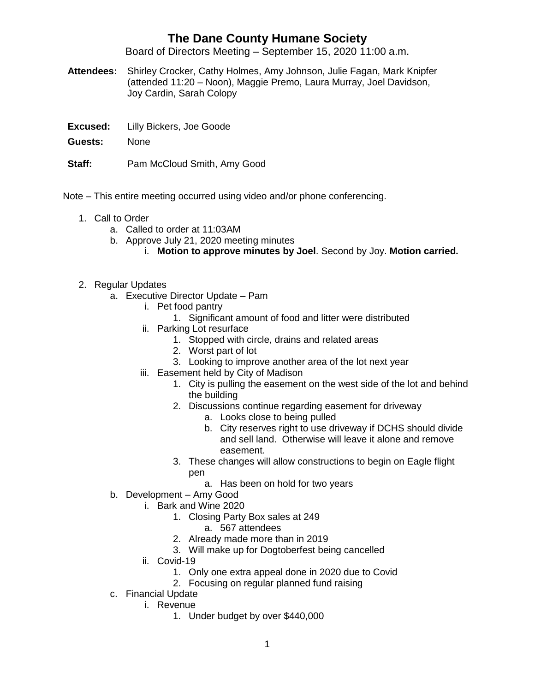## **The Dane County Humane Society**

Board of Directors Meeting – September 15, 2020 11:00 a.m.

- **Attendees:** Shirley Crocker, Cathy Holmes, Amy Johnson, Julie Fagan, Mark Knipfer (attended 11:20 – Noon), Maggie Premo, Laura Murray, Joel Davidson, Joy Cardin, Sarah Colopy
- **Excused:** Lilly Bickers, Joe Goode
- **Guests:** None
- **Staff:** Pam McCloud Smith, Amy Good

Note – This entire meeting occurred using video and/or phone conferencing.

- 1. Call to Order
	- a. Called to order at 11:03AM
	- b. Approve July 21, 2020 meeting minutes
		- i. **Motion to approve minutes by Joel**. Second by Joy. **Motion carried.**
- 2. Regular Updates
	- a. Executive Director Update Pam
		- i. Pet food pantry
			- 1. Significant amount of food and litter were distributed
		- ii. Parking Lot resurface
			- 1. Stopped with circle, drains and related areas
			- 2. Worst part of lot
			- 3. Looking to improve another area of the lot next year
		- iii. Easement held by City of Madison
			- 1. City is pulling the easement on the west side of the lot and behind the building
			- 2. Discussions continue regarding easement for driveway
				- a. Looks close to being pulled
				- b. City reserves right to use driveway if DCHS should divide and sell land. Otherwise will leave it alone and remove easement.
			- 3. These changes will allow constructions to begin on Eagle flight pen
				- a. Has been on hold for two years
	- b. Development Amy Good
		- i. Bark and Wine 2020
			- 1. Closing Party Box sales at 249
				- a. 567 attendees
				- 2. Already made more than in 2019
			- 3. Will make up for Dogtoberfest being cancelled
		- ii. Covid-19
			- 1. Only one extra appeal done in 2020 due to Covid
			- 2. Focusing on regular planned fund raising
	- c. Financial Update
		- i. Revenue
			- 1. Under budget by over \$440,000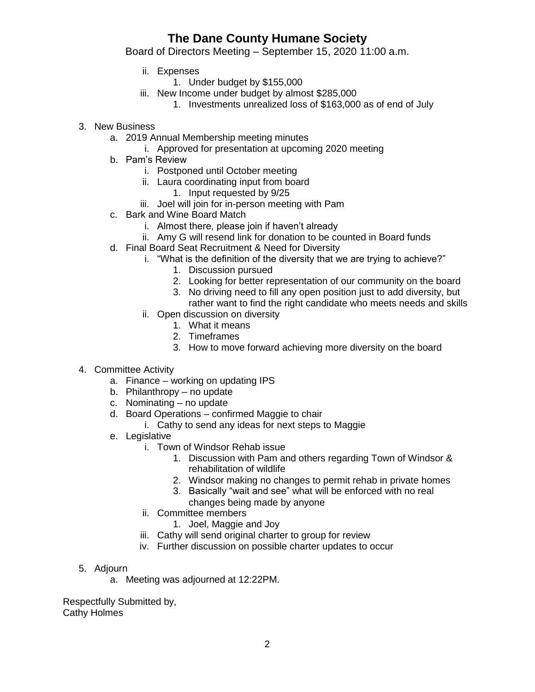## **The Dane County Humane Society**

Board of Directors Meeting – September 15, 2020 11:00 a.m.

- ii. Expenses
	- 1. Under budget by \$155,000
- iii. New Income under budget by almost \$285,000
	- 1. Investments unrealized loss of \$163,000 as of end of July
- 3. New Business
	- a. 2019 Annual Membership meeting minutes
		- i. Approved for presentation at upcoming 2020 meeting
	- b. Pam's Review
		- i. Postponed until October meeting
		- ii. Laura coordinating input from board
			- 1. Input requested by 9/25
		- iii. Joel will join for in-person meeting with Pam
	- c. Bark and Wine Board Match
		- i. Almost there, please join if haven't already
		- ii. Amy G will resend link for donation to be counted in Board funds
	- d. Final Board Seat Recruitment & Need for Diversity
		- i. "What is the definition of the diversity that we are trying to achieve?"
			- 1. Discussion pursued
			- 2. Looking for better representation of our community on the board
			- 3. No driving need to fill any open position just to add diversity, but rather want to find the right candidate who meets needs and skills
		- ii. Open discussion on diversity
			- 1. What it means
			- 2. Timeframes
			- 3. How to move forward achieving more diversity on the board
- 4. Committee Activity
	- a. Finance working on updating IPS
	- b. Philanthropy no update
	- c. Nominating no update
	- d. Board Operations confirmed Maggie to chair
		- i. Cathy to send any ideas for next steps to Maggie
	- e. Legislative
		- i. Town of Windsor Rehab issue
			- 1. Discussion with Pam and others regarding Town of Windsor & rehabilitation of wildlife
			- 2. Windsor making no changes to permit rehab in private homes
			- 3. Basically "wait and see" what will be enforced with no real changes being made by anyone
			-
		- ii. Committee members
			- 1. Joel, Maggie and Joy
		- iii. Cathy will send original charter to group for review
		- iv. Further discussion on possible charter updates to occur
- 5. Adjourn
	- a. Meeting was adjourned at 12:22PM.

Respectfully Submitted by, Cathy Holmes